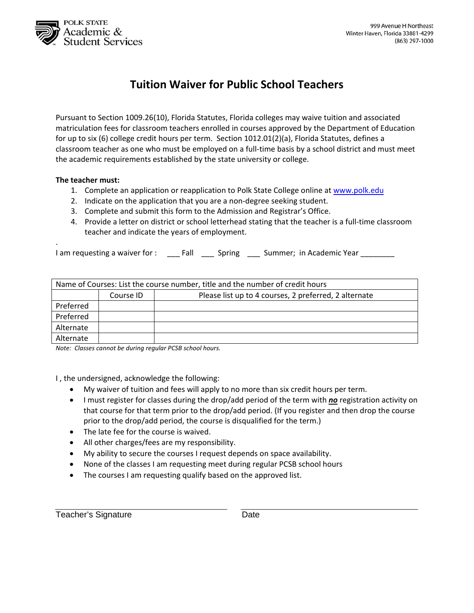

## **Tuition Waiver for Public School Teachers**

Pursuant to Section 1009.26(10), Florida Statutes, Florida colleges may waive tuition and associated matriculation fees for classroom teachers enrolled in courses approved by the Department of Education for up to six (6) college credit hours per term. Section 1012.01(2)(a), Florida Statutes, defines a classroom teacher as one who must be employed on a full-time basis by a school district and must meet the academic requirements established by the state university or college.

## **The teacher must:**

.

- 1. Complete an application or reapplication to Polk State College online at www.polk.edu
- 2. Indicate on the application that you are a non-degree seeking student.
- 3. Complete and submit this form to the Admission and Registrar's Office.
- 4. Provide a letter on district or school letterhead stating that the teacher is a full-time classroom teacher and indicate the years of employment.

I am requesting a waiver for : \_\_\_ Fall \_\_\_ Spring \_\_\_ Summer; in Academic Year \_\_\_\_\_\_\_\_

| Name of Courses: List the course number, title and the number of credit hours |           |                                                       |  |  |  |
|-------------------------------------------------------------------------------|-----------|-------------------------------------------------------|--|--|--|
|                                                                               | Course ID | Please list up to 4 courses, 2 preferred, 2 alternate |  |  |  |
| Preferred                                                                     |           |                                                       |  |  |  |
| Preferred                                                                     |           |                                                       |  |  |  |
| Alternate                                                                     |           |                                                       |  |  |  |
| Alternate                                                                     |           |                                                       |  |  |  |

*Note: Classes cannot be during regular PCSB school hours.*

I , the undersigned, acknowledge the following:

- My waiver of tuition and fees will apply to no more than six credit hours per term.
- **I** must register for classes during the drop/add period of the term with *no* registration activity on that course for that term prior to the drop/add period. (If you register and then drop the course prior to the drop/add period, the course is disqualified for the term.)
- The late fee for the course is waived.
- All other charges/fees are my responsibility.
- My ability to secure the courses I request depends on space availability.
- None of the classes I am requesting meet during regular PCSB school hours
- The courses I am requesting qualify based on the approved list.

Teacher's Signature **Date** Date